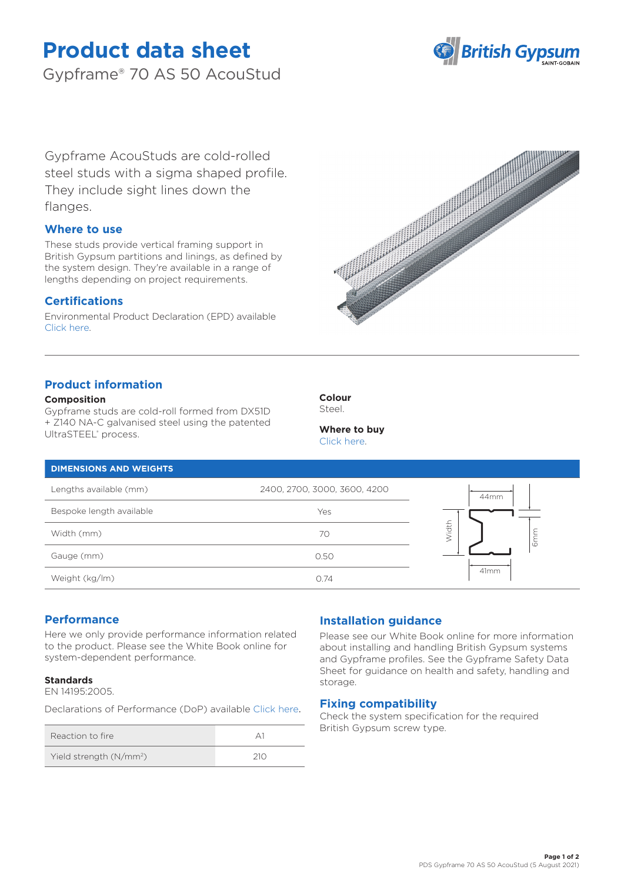# **Product data sheet**

Gypframe® 70 AS 50 AcouStud



Gypframe AcouStuds are cold-rolled steel studs with a sigma shaped profile. They include sight lines down the flanges.

# **Where to use**

These studs provide vertical framing support in British Gypsum partitions and linings, as defined by the system design. They're available in a range of lengths depending on project requirements.

# **Certifications**

Environmental Product Declaration (EPD) available [Click here.](https://www.british-gypsum.com/EPD)



# **Product information**

### **Composition**

Gypframe studs are cold-roll formed from DX51D + Z140 NA-C galvanised steel using the patented UltraSTEEL® process.



**Where to buy** [Click here.](https://www.british-gypsum.com/stockist-locator)

## **DIMENSIONS AND WEIGHTS**

| Lengths available (mm)   | 2400, 2700, 3000, 3600, 4200 | 44mm              |
|--------------------------|------------------------------|-------------------|
| Bespoke length available | Yes                          |                   |
| Width (mm)               | 70                           | <b>Vidth</b><br>Ō |
| Gauge (mm)               | 0.50                         |                   |
| Weight (kg/lm)           | 0.74                         | 41mm              |

# **Performance**

Here we only provide performance information related to the product. Please see the White Book online for system-dependent performance.

## **Standards**

EN 14195:2005.

Declarations of Performance (DoP) available [Click here](https://www.british-gypsum.com/DoP).

| Reaction to fire                    |  |
|-------------------------------------|--|
| Yield strength (N/mm <sup>2</sup> ) |  |

# **Installation guidance**

Please see our White Book online for more information about installing and handling British Gypsum systems and Gypframe profiles. See the Gypframe Safety Data Sheet for guidance on health and safety, handling and storage.

## **Fixing compatibility**

Check the system specification for the required British Gypsum screw type.